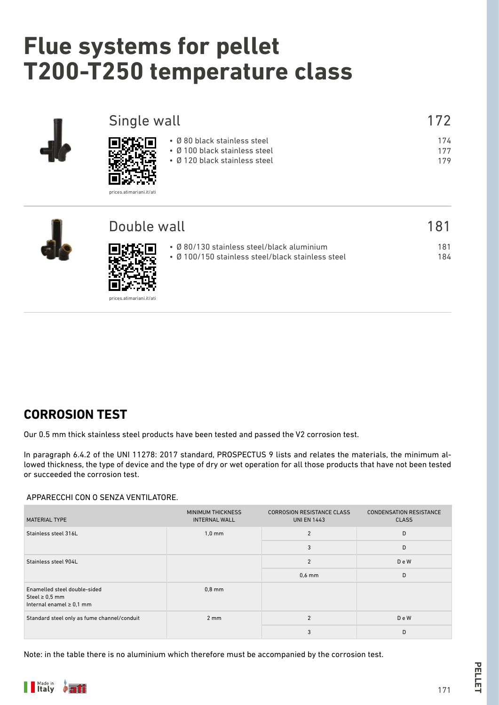# **Flue systems for pellet T200-T250 temperature class**

| Single wall                                                                                                                | 172               |
|----------------------------------------------------------------------------------------------------------------------------|-------------------|
| • Ø 80 black stainless steel<br>• Ø 100 black stainless steel<br>• Ø 120 black stainless steel<br>prices.atimariani.it/ati | 174<br>177<br>179 |
| Double wall                                                                                                                | 181               |
| • Ø 80/130 stainless steel/black aluminium<br>• Ø 100/150 stainless steel/black stainless steel                            | 181<br>184        |

# **CORROSION TEST**

Our 0.5 mm thick stainless steel products have been tested and passed the V2 corrosion test.

In paragraph 6.4.2 of the UNI 11278: 2017 standard, PROSPECTUS 9 lists and relates the materials, the minimum allowed thickness, the type of device and the type of dry or wet operation for all those products that have not been tested or succeeded the corrosion test.

### APPARECCHI CON O SENZA VENTILATORE.

回达 prices.atimariani.it/ati

| MATERIAL TYPE                                                                        | <b>MINIMUM THICKNESS</b><br><b>INTERNAL WALL</b> | <b>CORROSION RESISTANCE CLASS</b><br><b>UNI EN 1443</b> | <b>CONDENSATION RESISTANCE</b><br><b>CLASS</b> |
|--------------------------------------------------------------------------------------|--------------------------------------------------|---------------------------------------------------------|------------------------------------------------|
| Stainless steel 316L                                                                 | $1,0 \text{ mm}$                                 | $\overline{2}$                                          | D                                              |
|                                                                                      |                                                  | 3                                                       | D                                              |
| Stainless steel 904L                                                                 |                                                  | $\mathfrak{p}$                                          | DeW                                            |
|                                                                                      |                                                  | $0.6$ mm                                                | D                                              |
| Enamelled steel double-sided<br>Steel $\geq 0.5$ mm<br>Internal enamel $\geq 0.1$ mm | $0,8$ mm                                         |                                                         |                                                |
| Standard steel only as fume channel/conduit                                          | $2 \, \text{mm}$                                 | $\overline{2}$                                          | DeW                                            |
|                                                                                      |                                                  | 3                                                       | D                                              |

Note: in the table there is no aluminium which therefore must be accompanied by the corrosion test.

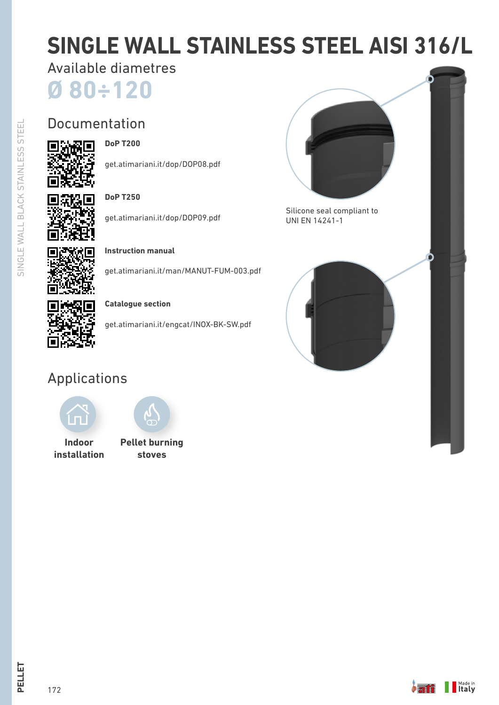# **SINGLE WALL STAINLESS STEEL AISI 316/L**

Available diametres

**Ø 80÷120**

# Documentation 流深回



get.atimariani.it/dop/DOP08.pdf

| c. |    |
|----|----|
| t. | i, |

# **DoP T250**

get.atimariani.it/dop/DOP09.pdf



# get.atimariani.it/man/MANUT-FUM-003.pdf

**Instruction manual**

# **Catalogue section**

get.atimariani.it/engcat/INOX-BK-SW.pdf

# Applications



**Indoor installation**



**Pellet burning stoves**



Silicone seal compliant to UNI EN 14241-1



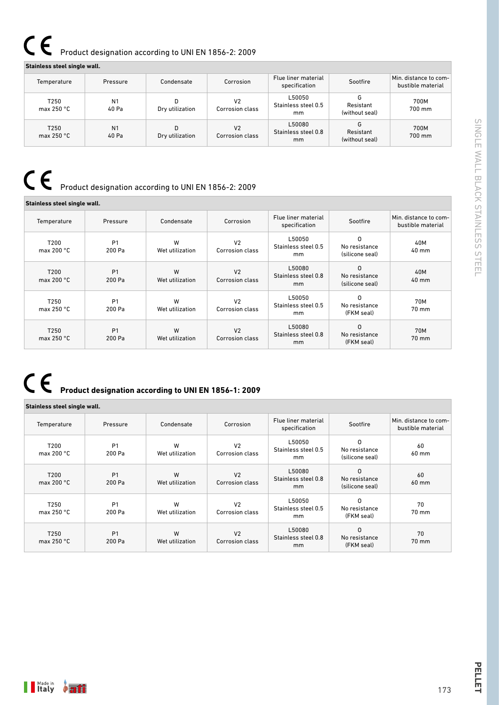# $C \in$ Product designation according to UNI EN 1856-2: 2009

### **Stainless steel single wall.**

| Temperature                 | Pressure                | Condensate      | Corrosion                         | Flue liner material<br>specification | Sootfire                    | Min. distance to com-<br>bustible material |
|-----------------------------|-------------------------|-----------------|-----------------------------------|--------------------------------------|-----------------------------|--------------------------------------------|
| T250<br>max $250 °C$        | N <sub>1</sub><br>40 Pa | Dry utilization | V <sub>2</sub><br>Corrosion class | L50050<br>Stainless steel 0.5<br>mm  | Resistant<br>(without seal) | 700M<br>700 mm                             |
| T250<br>max 250 $\degree$ C | N <sub>1</sub><br>40 Pa | Dry utilization | V <sub>2</sub><br>Corrosion class | L50080<br>Stainless steel 0.8<br>mm  | Resistant<br>(without seal) | 700M<br>700 mm                             |

# Product designation according to UNI EN 1856-2: 2009

| Stainless steel single wall. |                          |                      |                                          |                                      |                                       |                                            |
|------------------------------|--------------------------|----------------------|------------------------------------------|--------------------------------------|---------------------------------------|--------------------------------------------|
| Temperature                  | Pressure                 | Condensate           | Corrosion                                | Flue liner material<br>specification | Sootfire                              | Min. distance to com-<br>bustible material |
| T200<br>max 200 $\degree$ C  | P <sub>1</sub><br>200 Pa | W<br>Wet utilization | V <sub>2</sub><br><b>Corrosion class</b> | L50050<br>Stainless steel 0.5<br>mm  | 0<br>No resistance<br>(silicone seal) | 40M<br>40 mm                               |
| T200<br>max 200 $\degree$ C  | P <sub>1</sub><br>200 Pa | W<br>Wet utilization | V <sub>2</sub><br>Corrosion class        | L50080<br>Stainless steel 0.8<br>mm  | 0<br>No resistance<br>(silicone seal) | 40M<br>40 mm                               |
| T250<br>max $250 °C$         | P <sub>1</sub><br>200 Pa | W<br>Wet utilization | V <sub>2</sub><br>Corrosion class        | L50050<br>Stainless steel 0.5<br>mm  | 0<br>No resistance<br>(FKM seal)      | 70M<br>70 mm                               |
| T250<br>max 250 $\degree$ C  | P <sub>1</sub><br>200 Pa | W<br>Wet utilization | V <sub>2</sub><br><b>Corrosion class</b> | L50080<br>Stainless steel 0.8<br>mm  | 0<br>No resistance<br>(FKM seal)      | 70M<br>70 mm                               |

# **Product designation according to UNI EN 1856-1: 2009**

### **Stainless steel single wall.**

| Temperature                             | Pressure                 | Condensate           | Corrosion                                | Flue liner material<br>specification           | Sootfire                              | Min. distance to com-<br>bustible material |
|-----------------------------------------|--------------------------|----------------------|------------------------------------------|------------------------------------------------|---------------------------------------|--------------------------------------------|
| T <sub>200</sub><br>max 200 $\degree$ C | P <sub>1</sub><br>200 Pa | W<br>Wet utilization | V <sub>2</sub><br><b>Corrosion class</b> | L50050<br>Stainless steel 0.5<br>mm            | 0<br>No resistance<br>(silicone seal) | 60<br>60 mm                                |
| T200<br>max 200 $\degree$ C             | P <sub>1</sub><br>200 Pa | W<br>Wet utilization | V <sub>2</sub><br>Corrosion class        | L50080<br>Stainless steel 0.8<br><sub>mm</sub> | 0<br>No resistance<br>(silicone seal) | 60<br>60 mm                                |
| T250<br>max $250 °C$                    | P <sub>1</sub><br>200 Pa | W<br>Wet utilization | V <sub>2</sub><br><b>Corrosion class</b> | L50050<br>Stainless steel 0.5<br>mm            | 0<br>No resistance<br>(FKM seal)      | 70<br>70 mm                                |
| T250<br>max 250 $\degree$ C             | P <sub>1</sub><br>200 Pa | W<br>Wet utilization | V <sub>2</sub><br><b>Corrosion class</b> | L50080<br>Stainless steel 0.8<br><sub>mm</sub> | 0<br>No resistance<br>(FKM seal)      | 70<br>70 mm                                |



173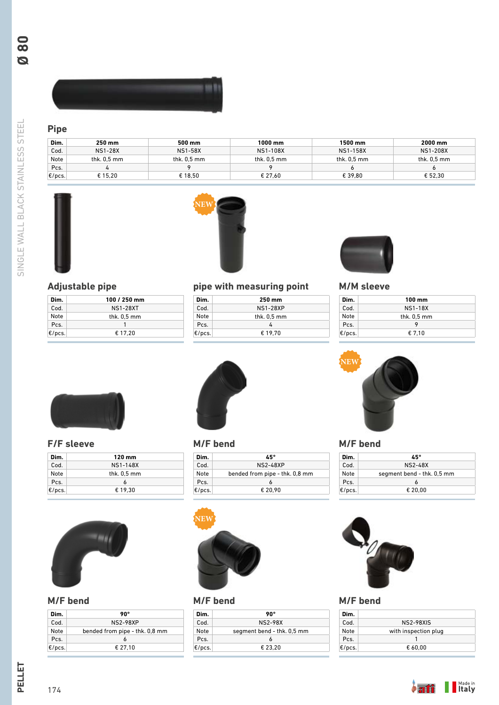SINGLE WALL BLACK STAINLESS STEEL SINGLE WALL BLACK STAINLESS STEEL



# **Pipe**

| Dim.  | 250 mm         | 500 mm         | 1000 mm         | 1500 mm       | 2000 mm         |
|-------|----------------|----------------|-----------------|---------------|-----------------|
| Cod.  | <b>NS1-28X</b> | <b>NS1-58X</b> | <b>NS1-108X</b> | NS1-158X      | <b>NS1-208X</b> |
| Note  | thk. $0.5$ mm  | thk. $0.5$ mm  | thk. $0.5$ mm   | thk. $0.5$ mm | thk. $0.5$ mm   |
| Pcs.  |                |                |                 |               | O               |
| E/pcs | € 15.20        | € 18.50        | € 27.60         | € 39.80       | € 52.30         |





# **Adjustable pipe**

| Dim.      | 100 / 250 mm    |
|-----------|-----------------|
| Cod.      | <b>NS1-28XT</b> |
| Note      | thk. $0.5$ mm   |
| Pcs.      |                 |
| $E/pc$ s. | € 17.20         |



| Dim.             | 250 mm          |
|------------------|-----------------|
| Cod.             | <b>NS1-28XP</b> |
| Note             | thk. $0.5$ mm   |
| Pcs.             | 4               |
| $\epsilon$ /pcs. | € 19.70         |



# **M/M sleeve**

| Dim.      | $100 \text{ mm}$ |
|-----------|------------------|
| Cod.      | <b>NS1-18X</b>   |
| Note      | thk. $0.5$ mm    |
| Pcs.      |                  |
| $E/pcs$ . | € 7.10           |



# **F/F sleeve**

| Dim.      | 120 mm          |
|-----------|-----------------|
| Cod.      | <b>NS1-148X</b> |
| Note      | thk. $0.5$ mm   |
| Pcs.      | 6               |
| $E/pcs$ . | € 19.30         |



# **M/F bend**

| Dim.             | 90°                            |
|------------------|--------------------------------|
| Cod.             | <b>NS2-98XP</b>                |
| Note             | bended from pipe - thk. 0,8 mm |
| Pcs.             |                                |
| $\epsilon$ /pcs. | € 27.10                        |



## **M/F bend**

| Dim.      | 45°                            |
|-----------|--------------------------------|
| Cod.      | <b>NS2-48XP</b>                |
| Note      | bended from pipe - thk. 0,8 mm |
| Pcs.      |                                |
| $E/pcs$ . | € 20.90                        |



# **M/F bend**

| Dim.      | 90°                        |
|-----------|----------------------------|
| Cod       | <b>NS2-98X</b>             |
| Note      | segment bend - thk. 0,5 mm |
| Pcs.      | 6                          |
| $E/pcs$ . | € 23.20                    |



### **M/F bend**

| Dim.      | 45°                        |
|-----------|----------------------------|
| Cod.      | <b>NS2-48X</b>             |
| Note      | segment bend - thk. 0,5 mm |
| Pcs.      |                            |
| $E/pcs$ . | € 20,00                    |



# **M/F bend**

| Dim.      |                      |
|-----------|----------------------|
| Cod.      | <b>NS2-98XIS</b>     |
| Note      | with inspection plug |
| Pcs.      |                      |
| $E/pc$ s. | € 60.00              |

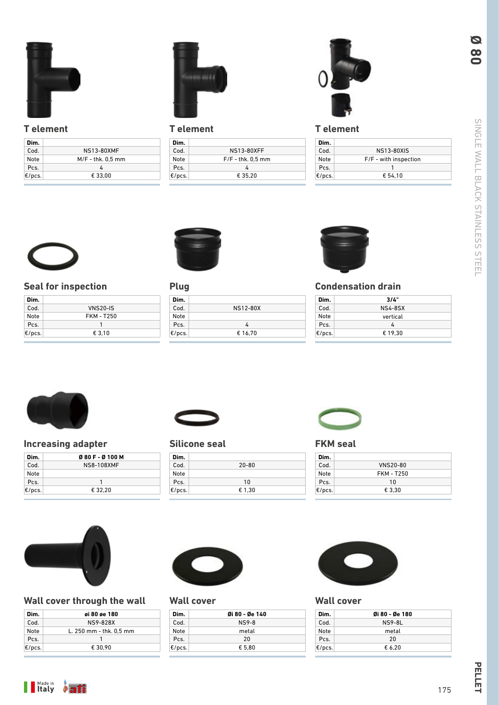

# **T element**

| Dim.      |                     |
|-----------|---------------------|
| Cod.      | <b>NS13-80XMF</b>   |
| Note      | $M/F -$ thk. 0,5 mm |
| Pcs.      | 4                   |
| $E/pcs$ . | € 33.00             |



# **T element**

| Dim.             |                     |
|------------------|---------------------|
| Cod.             | <b>NS13-80XFF</b>   |
| Note             | $F/F -$ thk. 0.5 mm |
| Pcs.             | 4                   |
| $\epsilon$ /pcs. | € 35.20             |
|                  |                     |



# **T element**

| Dim.      |                       |
|-----------|-----------------------|
| Cod       | <b>NS13-80XIS</b>     |
| Note      | F/F - with inspection |
| Pcs.      |                       |
| $E/pcs$ . | € 54.10               |



# **Seal for inspection**

| Dim.             |                   |
|------------------|-------------------|
| Cod.             | <b>VNS20-IS</b>   |
| Note             | <b>FKM - T250</b> |
| Pcs.             |                   |
| $\epsilon$ /pcs. | € 3.10            |



# **Plug**

| Dim.      |                 |
|-----------|-----------------|
| Cod.      | <b>NS12-80X</b> |
| Note      |                 |
| Pcs.      | 4               |
| $E/pcs$ . | € 16.70         |



# **Condensation drain**

| Dim.      | 3/4"           |  |
|-----------|----------------|--|
| Cod.      | <b>NS4-8SX</b> |  |
| Note      | vertical       |  |
| Pcs.      | 4              |  |
| $E/pc$ s. | € 19.30        |  |



# **Increasing adapter**

| Dim.                 | 080F-0100M        |
|----------------------|-------------------|
| Cod.                 | <b>NS8-108XMF</b> |
| Note                 |                   |
| Pcs.                 |                   |
| $ \varepsilon$ /pcs. | € 32.20           |



# **Silicone seal**

| Dim.      |           |
|-----------|-----------|
| Cod.      | $20 - 80$ |
| Note      |           |
| Pcs.      | 10        |
| $E/pc$ s. | € 1,30    |



# **FKM seal**

| Dim.      |                   |  |
|-----------|-------------------|--|
| Cod.      | <b>VNS20-80</b>   |  |
| Note      | <b>FKM - T250</b> |  |
| Pcs.      | 10                |  |
| $E/pcs$ . | € 3.30            |  |



# **Wall cover through the wall**

| Dim.      | øi 80 øe 180            |
|-----------|-------------------------|
| Cod.      | NS9-828X                |
| Note      | L. 250 mm - thk. 0.5 mm |
| Pcs.      |                         |
| $E/pcs$ . | € 30.90                 |



# **Wall cover**

| Øi 80 - Øe 140 |  |
|----------------|--|
| <b>NS9-8</b>   |  |
| metal          |  |
| 20             |  |
| € 5.80         |  |
|                |  |



# **Wall cover**

| Dim.   | 0i 80 - 0e 180 |
|--------|----------------|
| Cod.   | <b>NS9-8L</b>  |
| Note   | metal          |
| Pcs.   | 20             |
| E/pcs. | € 6.20         |

**Ø 80**



PELLET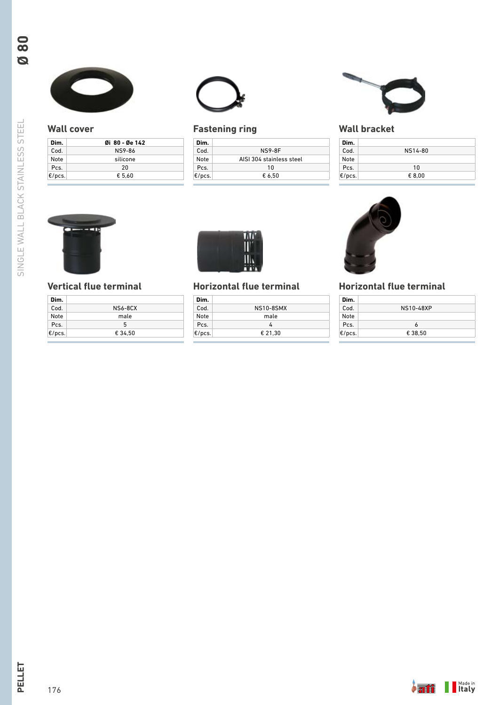

## **Wall cover**

| Dim.      | 0i 80 - 0e 142 |  |
|-----------|----------------|--|
| Cod.      | <b>NS9-86</b>  |  |
| Note      | silicone       |  |
| Pcs.      | 20             |  |
| $E/pcs$ . | € 5.60         |  |



# **Fastening ring**

| Dim.      |                          |
|-----------|--------------------------|
| Cod.      | <b>NS9-8F</b>            |
| Note      | AISI 304 stainless steel |
| Pcs.      | 10                       |
| $E/$ pcs. | € 6.50                   |



# **Wall bracket**

| Dim.      |                |
|-----------|----------------|
| Cod.      | NS14-80        |
| Note      |                |
| Pcs.      | 1 <sub>0</sub> |
| $E/pc$ s. | € 8.00         |



# **Vertical flue terminal**

| Dim.      |                |
|-----------|----------------|
| Cod.      | <b>NS6-8CX</b> |
| Note      | male           |
| Pcs.      | 5              |
| $E/pc$ s. | € 34.50        |
|           |                |



# **Horizontal flue terminal**

| NS10-8SMX |
|-----------|
| male      |
| 4         |
| € 21.30   |
|           |



# **Horizontal flue terminal**

| NS10-48XP |
|-----------|
|           |
| ь         |
| € 38.50   |
|           |

**Ø 80**

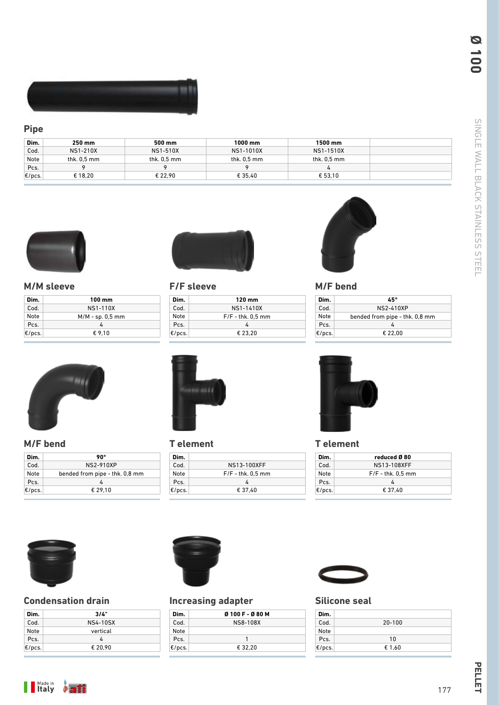

# **Pipe**

| Dim.             | 250 mm        | 500 mm        | 1000 mm       | 1500 mm       |  |
|------------------|---------------|---------------|---------------|---------------|--|
| Cod.             | NS1-210X      | NS1-510X      | NS1-1010X     | NS1-1510X     |  |
| Note             | thk. $0.5$ mm | thk. $0.5$ mm | thk. $0.5$ mm | thk. $0.5$ mm |  |
| Pcs.             |               |               |               |               |  |
| $\epsilon$ /pcs. | € 18.20       | € 22.90       | € 35.40       | € 53.10       |  |



# **M/M sleeve**

| Dim.             | 100 mm             |
|------------------|--------------------|
| Cod.             | <b>NS1-110X</b>    |
| Note             | $M/M - sp. 0.5$ mm |
| Pcs.             |                    |
| $\epsilon$ /pcs. | € 9.10             |



# **F/F sleeve**

| Dim.             | 120 mm              |
|------------------|---------------------|
| Cod.             | NS1-1410X           |
| Note             | $F/F -$ thk. 0,5 mm |
| Pcs.             | 4                   |
| $\epsilon$ /pcs. | € 23.20             |



## **M/F bend**

| Dim.      | 45°                            |
|-----------|--------------------------------|
| Cod       | NS2-410XP                      |
| Note      | bended from pipe - thk. 0,8 mm |
| Pcs.      | Λ                              |
| $E/pc$ s. | € 22.00                        |



# **M/F bend**

| Dim.      | 90°                            |
|-----------|--------------------------------|
| Cod.      | NS2-910XP                      |
| Note      | bended from pipe - thk. 0,8 mm |
| Pcs.      | 4                              |
| $E/pcs$ . | € 29.10                        |



# **T element**

| Dim.             |                       |
|------------------|-----------------------|
| Cod.             | NS13-100XFF           |
| Note             | $F/F -$ thk. $0.5$ mm |
| Pcs.             |                       |
| $\epsilon$ /pcs. | € 37.40               |



## **T element**

| NS13-108XFF           |             |
|-----------------------|-------------|
| $F/F -$ thk. $0.5$ mm |             |
|                       |             |
| € 37.40               |             |
|                       | reduced Ø80 |



# **Condensation drain**

| Dim.             | 3/4"            |  |
|------------------|-----------------|--|
| Cod.             | <b>NS4-10SX</b> |  |
| Note             | vertical        |  |
| Pcs.             | 7               |  |
| $\epsilon$ /pcs. | € 20.90         |  |



# **Increasing adapter**

| Dim.             | Ø 100 F - Ø 80 M |  |
|------------------|------------------|--|
| Cod.             | NS8-108X         |  |
| Note             |                  |  |
| Pcs.             |                  |  |
| $\epsilon$ /pcs. | € 32.20          |  |



# **Silicone seal**

| Dim.      |            |  |
|-----------|------------|--|
| Cod.      | $20 - 100$ |  |
| Note      |            |  |
| Pcs.      | 10         |  |
| $E/pc$ s. | € 1,60     |  |

**Ø 100**



PELLET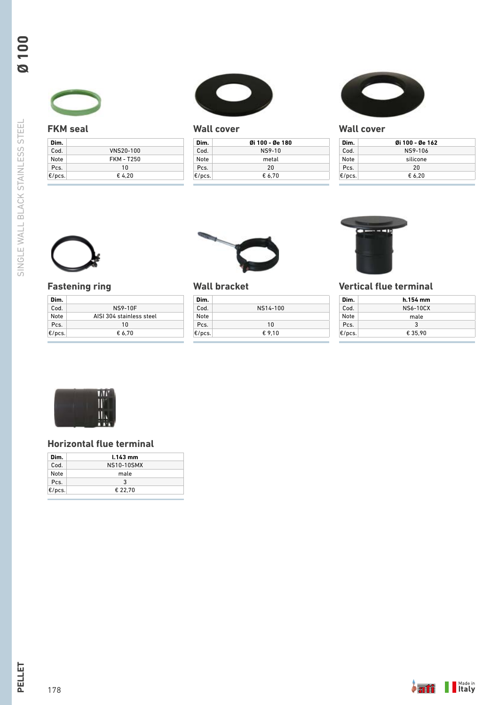

# **FKM seal**

| Dim.             |                   |  |
|------------------|-------------------|--|
| Cod.             | VNS20-100         |  |
| Note             | <b>FKM - T250</b> |  |
| Pcs.             | 10                |  |
| $\epsilon$ /pcs. | €4.20             |  |



# **Wall cover**

| Dim.      | 0i 100 - 0e 180 |  |
|-----------|-----------------|--|
| Cod.      | NS9-10          |  |
| Note      | metal           |  |
| Pcs.      | 20              |  |
| $E/pc$ s. | € 6.70          |  |



# **Wall cover**

| Dim.      | Øi 100 - Øe 162 |  |
|-----------|-----------------|--|
| Cod.      | NS9-106         |  |
| Note      | silicone        |  |
| Pcs.      | 20              |  |
| $E/pcs$ . | € 6.20          |  |



# **Fastening ring**

| Dim.      |                          |
|-----------|--------------------------|
| Cod.      | <b>NS9-10F</b>           |
| Note      | AISI 304 stainless steel |
| Pcs.      | 10                       |
| $E/pcs$ . | € 6.70                   |



# **Wall bracket**



# **Vertical flue terminal**

| Dim.      | h.154 mm        |  |
|-----------|-----------------|--|
| Cod.      | <b>NS6-10CX</b> |  |
| Note      | male            |  |
| Pcs.      | ર               |  |
| $E/pc$ s. | € 35.90         |  |



# **Horizontal flue terminal**

| Dim.      | $1.143$ mm        |  |
|-----------|-------------------|--|
| Cod.      | <b>NS10-10SMX</b> |  |
| Note      | male              |  |
| Pcs.      | 3                 |  |
| $E/pcs$ . | € 22.70           |  |

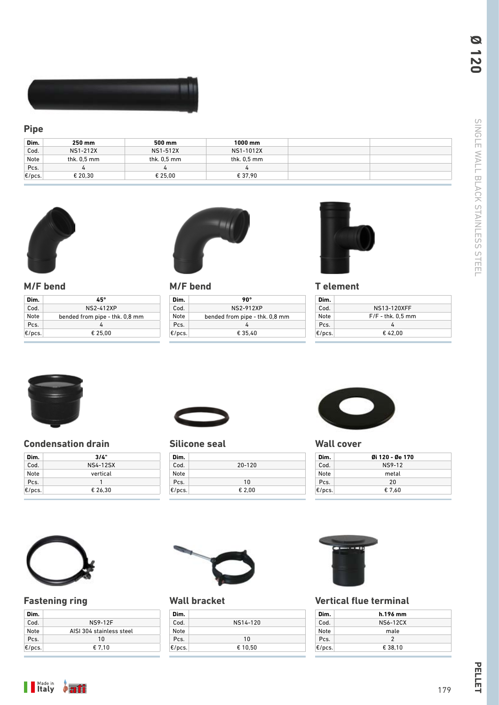

# **Pipe**

| Dim.                                | 250 mm          | 500 mm        | 1000 mm       |  |
|-------------------------------------|-----------------|---------------|---------------|--|
| Cod.                                | <b>NS1-212X</b> | NS1-512X      | NS1-1012X     |  |
| Note                                | thk. 0,5 mm     | thk. $0.5$ mm | thk. $0.5$ mm |  |
| Pcs.                                |                 | ≖             |               |  |
| $ \mathbf{\epsilon}/\mathsf{pcs.} $ | € 20.30         | € 25.00       | € 37.90       |  |



**M/F bend**

**Dim.** Cod. Note Pcs. €/pcs.



# **M/F bend**

| Dim.      | 90°                            |
|-----------|--------------------------------|
| Cod.      | NS2-912XP                      |
| Note      | bended from pipe - thk. 0,8 mm |
| Pcs.      | 4                              |
| $E/pcs$ . | € 35.40                        |



# **T element**

| Dim.      |                     |
|-----------|---------------------|
| Cod.      | NS13-120XFF         |
| Note      | $F/F -$ thk. 0.5 mm |
| Pcs.      |                     |
| $E/pcs$ . | €42.00              |



### **Condensation drain**

| Dim.             | 3/4"            |  |
|------------------|-----------------|--|
| Cod.             | <b>NS4-12SX</b> |  |
| Note             | vertical        |  |
| Pcs.             |                 |  |
| $\epsilon$ /pcs. | € 26.30         |  |

**45°** NS2-412XP bended from pipe - thk. 0,8 mm 4 € 25,00



# **Silicone seal**

| Dim.   |            |
|--------|------------|
| Cod.   | $20 - 120$ |
| Note   |            |
| Pcs.   | 10         |
| E/pcs. | € 2.00     |



### **Wall cover**

| Dim.      | Øi 120 - Øe 170 |
|-----------|-----------------|
| Cod.      | <b>NS9-12</b>   |
| Note      | metal           |
| Pcs.      | 20              |
| $E/pc$ s. | € 7.60          |



# **Fastening ring**

| Dim.             |                          |
|------------------|--------------------------|
| Cod.             | <b>NS9-12F</b>           |
| Note             | AISI 304 stainless steel |
| Pcs.             | 10                       |
| $\epsilon$ /pcs. | € 7.10                   |



# **Wall bracket**

| Dim.      |          |
|-----------|----------|
| Cod.      | NS14-120 |
| Note      |          |
| Pcs.      | 10       |
| $E/pcs$ . | € 10,50  |



# **Vertical flue terminal**

| Dim.      | h.196 mm        |  |
|-----------|-----------------|--|
| Cod.      | <b>NS6-12CX</b> |  |
| Note      | male            |  |
| Pcs.      | 2               |  |
| $E/pcs$ . | € 38.10         |  |

**Ø 120**



PELLET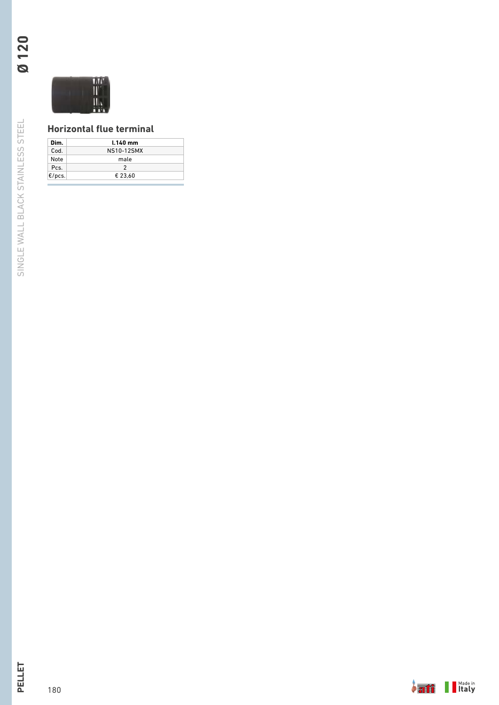

# **Horizontal flue terminal**

| Dim.   | $1.140$ mm        |
|--------|-------------------|
| Cod.   | <b>NS10-12SMX</b> |
| Note   | male              |
| Pcs.   | 2                 |
| E/pcs. | € 23.60           |

**Ø 120**

180

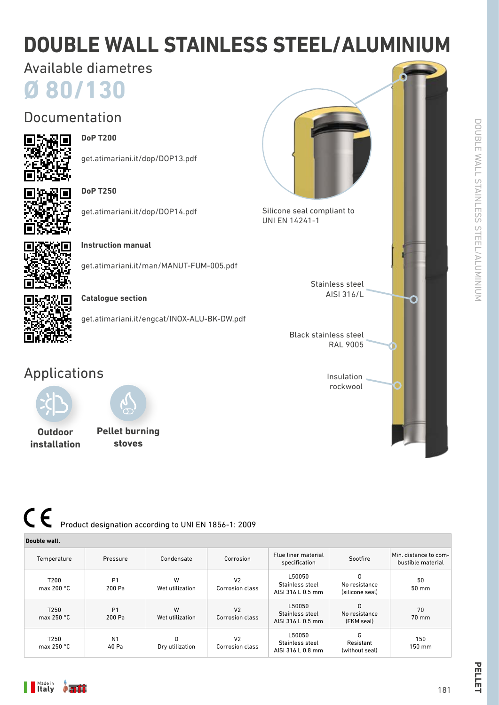# **DOUBLE WALL STAINLESS STEEL/ALUMINIUM**

# Available diametres

**Ø 80/130**

# Documentation



# **DoP T200**

get.atimariani.it/dop/DOP13.pdf



# **DoP T250**

get.atimariani.it/dop/DOP14.pdf



**Instruction manual**

get.atimariani.it/man/MANUT-FUM-005.pdf



# **Catalogue section**

get.atimariani.it/engcat/INOX-ALU-BK-DW.pdf

# Applications





**Outdoor installation**





Stainless steel AISI 316/L

Black stainless steel RAL 9005

> Insulation rockwool

PELLET

# $\epsilon$ Product designation according to UNI EN 1856-1: 2009

| Double wall.                     |                          |                      |                                          |                                                |                                       |                                            |
|----------------------------------|--------------------------|----------------------|------------------------------------------|------------------------------------------------|---------------------------------------|--------------------------------------------|
| Temperature                      | Pressure                 | Condensate           | Corrosion                                | Flue liner material<br>specification           | Sootfire                              | Min. distance to com-<br>bustible material |
| T200<br>max 200 $^{\circ}$ C     | P <sub>1</sub><br>200 Pa | W<br>Wet utilization | V <sub>2</sub><br>Corrosion class        | L50050<br>Stainless steel<br>AISI 316 L 0.5 mm | O<br>No resistance<br>(silicone seal) | 50<br>50 mm                                |
| T <sub>250</sub><br>max $250 °C$ | P <sub>1</sub><br>200 Pa | W<br>Wet utilization | V <sub>2</sub><br>Corrosion class        | L50050<br>Stainless steel<br>AISI 316 L 0.5 mm | 0<br>No resistance<br>(FKM seal)      | 70<br>$70 \text{ mm}$                      |
| T250<br>max 250 $\degree$ C      | N <sub>1</sub><br>40 Pa  | D<br>Dry utilization | V <sub>2</sub><br><b>Corrosion class</b> | L50050<br>Stainless steel<br>AISI 316 L 0.8 mm | G<br>Resistant<br>(without seal)      | 150<br>150 mm                              |

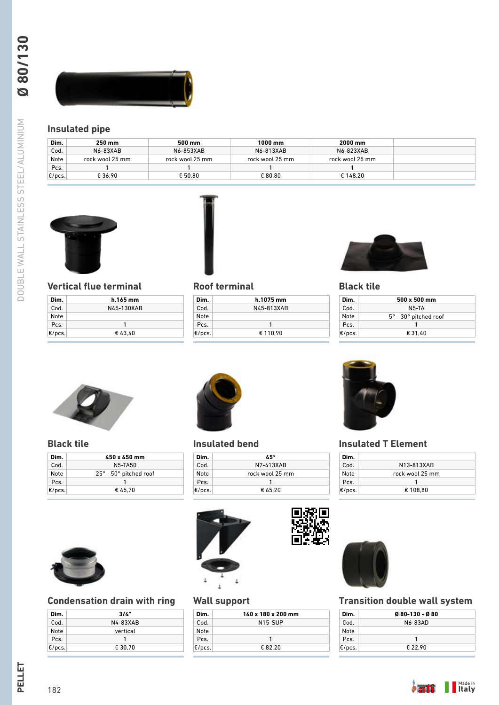

# **Insulated pipe**

| Dim.  | 250 mm          | 500 mm          | 1000 mm         | 2000 mm         |  |
|-------|-----------------|-----------------|-----------------|-----------------|--|
| Cod.  | <b>N6-83XAB</b> | N6-853XAB       | N6-813XAB       | N6-823XAB       |  |
| Note  | rock wool 25 mm | rock wool 25 mm | rock wool 25 mm | rock wool 25 mm |  |
| Pcs.  |                 |                 |                 |                 |  |
| E/pcs | € 36.90         | € 50.80         | € 80.80         | € 148.20        |  |



# **Vertical flue terminal**

| Dim.             | h.165 mm   |
|------------------|------------|
| Cod.             | N45-130XAB |
| Note             |            |
| Pcs.             |            |
| $\epsilon$ /pcs. | €43.40     |



## **Roof terminal**

| Dim.      | h.1075 mm  |  |
|-----------|------------|--|
| Cod.      | N45-813XAB |  |
| Note      |            |  |
| Pcs.      | 1          |  |
| $E/pcs$ . | € 110.90   |  |



# **Black tile**

| Dim.      | $500 \times 500$ mm                      |
|-----------|------------------------------------------|
| Cod.      | N5-TA                                    |
| Note      | $5^{\circ}$ - 30 $^{\circ}$ pitched roof |
| Pcs.      |                                          |
| $E/pcs$ . | € 31.40                                  |



## **Black tile**

| Dim.      | 450 x 450 mm                         |
|-----------|--------------------------------------|
| Cod.      | N5-TA50                              |
| Note      | $25^\circ$ - $50^\circ$ pitched roof |
| Pcs.      |                                      |
| $E/pcs$ . | €45.70                               |



# **Condensation drain with ring**

| Dim.      | 3/4"     |
|-----------|----------|
| Cod.      | N4-83XAB |
| Note      | vertical |
| Pcs.      |          |
| $E/pc$ s. | € 30.70  |



## **Insulated bend**

| Dim.      | 45°             |
|-----------|-----------------|
| Cod.      | N7-413XAB       |
| Note      | rock wool 25 mm |
| Pcs.      |                 |
| $E/pcs$ . | € 65.20         |



# **Wall support**

| Dim.      | 140 x 180 x 200 mm   |
|-----------|----------------------|
| Cod       | N <sub>15</sub> -SUP |
| Note      |                      |
| Pcs.      | 1                    |
| $E/pc$ s. | € 82.20              |



# **Insulated T Element**

| Dim.      |                 |
|-----------|-----------------|
| Cod       | N13-813XAB      |
| Note      | rock wool 25 mm |
| Pcs.      |                 |
| $E/pcs$ . | € 108.80        |



# **Transition double wall system**

| Dim.      | $Q$ 80-130 - $Q$ 80 |  |
|-----------|---------------------|--|
| Cod.      | N6-83AD             |  |
| Note      |                     |  |
| Pcs.      |                     |  |
| $E/pcs$ . | € 22.90             |  |

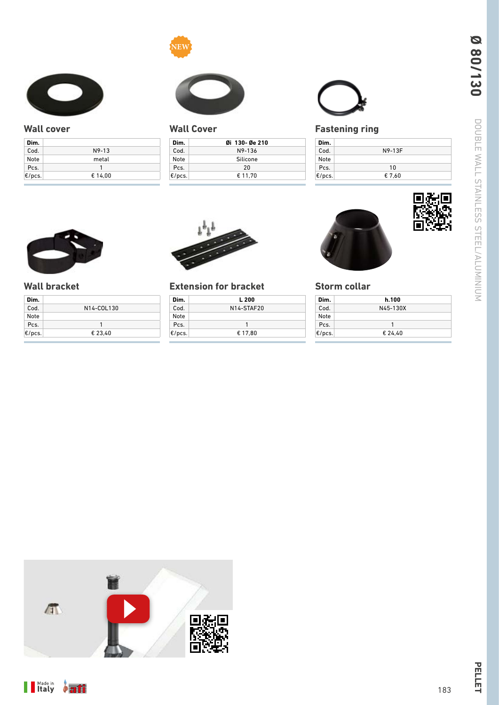



# **Wall cover**

| Dim.      |         |  |
|-----------|---------|--|
| Cod.      | $N9-13$ |  |
| Note      | metal   |  |
| Pcs.      |         |  |
| $E/pc$ s. | € 14.00 |  |



# **Wall Cover**

| Dim.      | 0i 130-0e 210 |
|-----------|---------------|
| Cod.      | N9-136        |
| Note      | Silicone      |
| Pcs.      | 20            |
| $E/pcs$ . | € 11.70       |
|           |               |



# **Fastening ring**

| Dim.      |        |
|-----------|--------|
| Cod.      | N9-13F |
| Note      |        |
| Pcs.      | 10     |
| $E/pc$ s. | € 7.60 |



# **Wall bracket**

| Dim.      |            |
|-----------|------------|
| Cod.      | N14-COL130 |
| Note      |            |
| Pcs.      |            |
| $E/pc$ s. | € 23.40    |



# **Extension for bracket**

| Dim.   | L 200      |
|--------|------------|
| Cod.   | N14-STAF20 |
| Note   |            |
| Pcs.   | 1          |
| E/pcs. | € 17.80    |
|        |            |



# **Storm collar**

| Dim.      | h.100    |  |
|-----------|----------|--|
| Cod.      | N45-130X |  |
| Note      |          |  |
| Pcs.      | 1        |  |
| $E/pcs$ . | € 24.40  |  |





П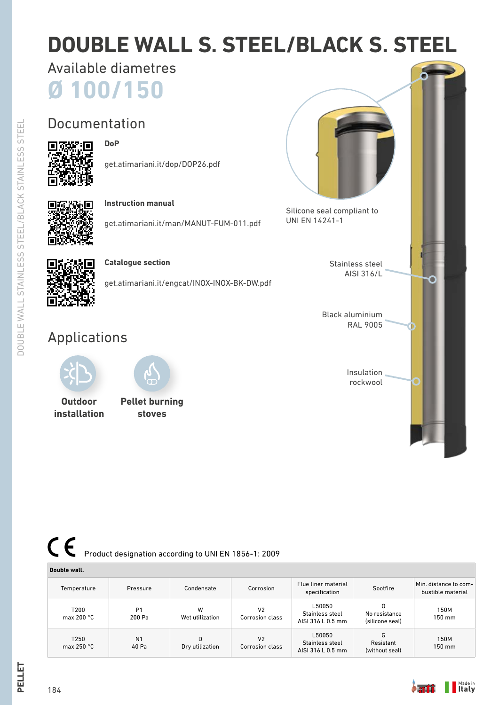# **DOUBLE WALL S. STEEL/BLACK S. STEEL**

**Ø 100/150** Available diametres

**DoP**

# Documentation



# get.atimariani.it/dop/DOP26.pdf



DOUBLE WALL STAINLESS STEEL/BLACK STAINLESS STEEL

**DOUBLE WALL STAINLESS STEEL/BLACK STAINLESS STEEL** 

# **Instruction manual**

get.atimariani.it/man/MANUT-FUM-011.pdf



## **Catalogue section**

get.atimariani.it/engcat/INOX-INOX-BK-DW.pdf

# Applications



**Outdoor installation**



**Pellet burning stoves**

# $\epsilon$ Product designation according to UNI EN 1856-1: 2009

### **Double wall.** Temperature Pressure Condensate Corrosion Flue liner material specification Sootfire Min. distance to com-bustible material T200 max 200 °C P1 200 Pa W Wet utilization  $V<sub>2</sub>$ Corrosion class L50050 Stainless steel AISI 316 L 0.5 mm O No resistance (silicone seal) 150M 150 mm T250 max 250 °C N1 40 Pa D Dry utilization V2 Corrosion class L50050 Stainless steel AISI 316 L 0.5 mm G Resistant (without seal) 150M 150 mm



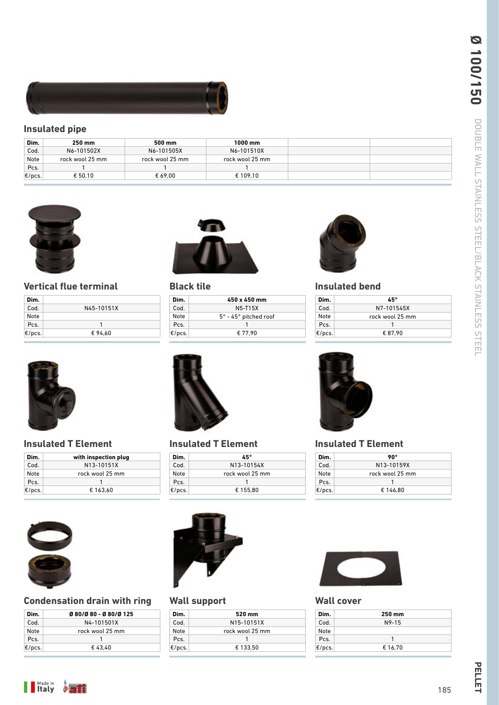

# **Insulated pipe**

| Dim.             | 250 mm          | 500 mm          | 1000 mm         |  |
|------------------|-----------------|-----------------|-----------------|--|
| Cod.             | N6-101502X      | N6-101505X      | N6-101510X      |  |
| Note             | rock wool 25 mm | rock wool 25 mm | rock wool 25 mm |  |
| Pcs.             |                 |                 |                 |  |
| $\epsilon$ /pcs. | € 50.10         | € 69.00         | € 109.10        |  |





# **Vertical flue terminal**

| Dim.   |            |
|--------|------------|
| Cod.   | N45-10151X |
| Note   |            |
| Pcs.   |            |
| E/pcs. | €94.60     |



| Dim.      | 450 x 450 mm                             |
|-----------|------------------------------------------|
| Cod.      | N5-T15X                                  |
| Note      | $5^{\circ}$ - 45 $^{\circ}$ pitched roof |
| Pcs.      |                                          |
| $E/pc$ s. | € 77.90                                  |
|           |                                          |



# **Insulated bend**

| Dim.      | 45°             |
|-----------|-----------------|
| Cod.      | N7-101545X      |
| Note      | rock wool 25 mm |
| Pcs.      |                 |
| $E/pcs$ . | € 87.90         |



### **Insulated T Element**

| Dim.      | with inspection plug |
|-----------|----------------------|
| Cod.      | N13-10151X           |
| Note      | rock wool 25 mm      |
| Pcs.      |                      |
| $E/pc$ s. | € 163.60             |



# **Condensation drain with ring**

| Dim.      | Ø80/Ø80 - Ø80/Ø125 |
|-----------|--------------------|
| Cod       | N4-101501X         |
| Note      | rock wool 25 mm    |
| Pcs.      |                    |
| $E/pcs$ . | €43.40             |



# **Insulated T Element**

| Dim.   | 45°             |
|--------|-----------------|
| Cod.   | N13-10154X      |
| Note   | rock wool 25 mm |
| Pcs.   |                 |
| E/pcs. | € 155.80        |
|        |                 |



# **Wall support**

| Dim.      | 520 mm          |
|-----------|-----------------|
| Cod.      | N15-10151X      |
| Note      | rock wool 25 mm |
| Pcs.      |                 |
| $E/pc$ s. | € 133.50        |
|           |                 |



# **Insulated T Element**

| Dim.      | 90°             |
|-----------|-----------------|
| Cod.      | N13-10159X      |
| Note      | rock wool 25 mm |
| Pcs.      |                 |
| $E/pcs$ . | € 146.80        |



# **Wall cover**

| Dim.      | 250 mm  |  |
|-----------|---------|--|
| Cod.      | $N9-15$ |  |
| Note      |         |  |
| Pcs.      |         |  |
| $E/pc$ s. | € 16.70 |  |